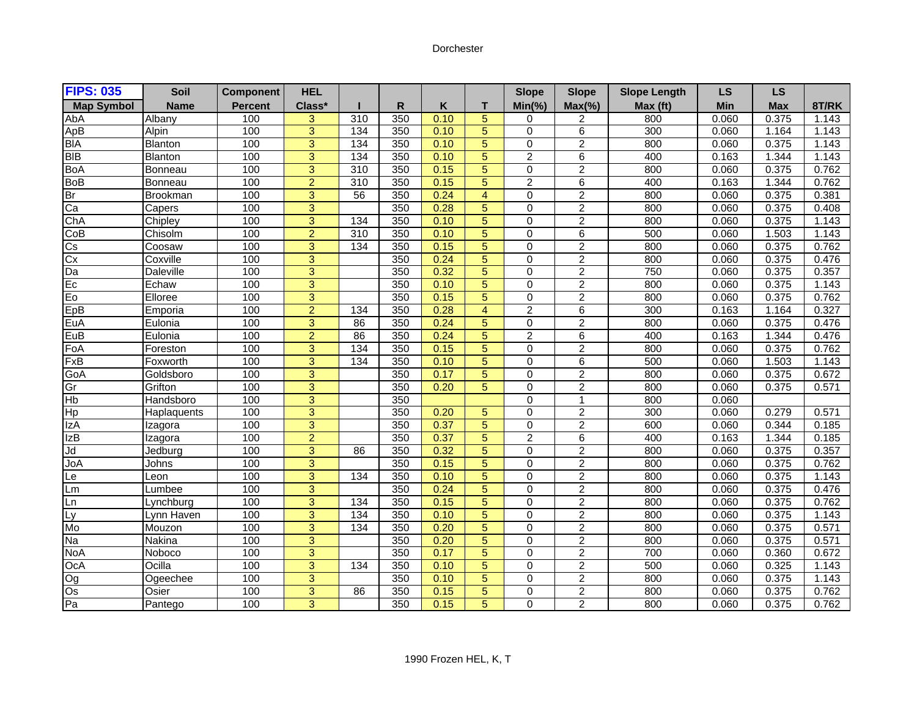## Dorchester

| <b>FIPS: 035</b>       | Soil           | <b>Component</b> | <b>HEL</b>     |     |     |      |                | <b>Slope</b>   | <b>Slope</b>    | <b>Slope Length</b> | LS         | <b>LS</b>  |       |
|------------------------|----------------|------------------|----------------|-----|-----|------|----------------|----------------|-----------------|---------------------|------------|------------|-------|
| <b>Map Symbol</b>      | <b>Name</b>    | <b>Percent</b>   | Class*         |     | R   | Κ    | т              | $Min(\% )$     | $Max(\% )$      | Max (ft)            | <b>Min</b> | <b>Max</b> | 8T/RK |
| AbA                    | Albany         | 100              | 3              | 310 | 350 | 0.10 | 5              | 0              | 2               | 800                 | 0.060      | 0.375      | 1.143 |
| ApB                    | Alpin          | 100              | $\overline{3}$ | 134 | 350 | 0.10 | $\overline{5}$ | 0              | $\overline{6}$  | 300                 | 0.060      | 1.164      | 1.143 |
| <b>BIA</b>             | Blanton        | 100              | 3              | 134 | 350 | 0.10 | 5              | $\mathbf 0$    | $\overline{2}$  | 800                 | 0.060      | 0.375      | 1.143 |
| <b>BIB</b>             | Blanton        | 100              | $\overline{3}$ | 134 | 350 | 0.10 | $\overline{5}$ | $\overline{2}$ | $6\overline{6}$ | 400                 | 0.163      | 1.344      | 1.143 |
| <b>BoA</b>             | <b>Bonneau</b> | 100              | $\overline{3}$ | 310 | 350 | 0.15 | 5              | 0              | $\overline{2}$  | 800                 | 0.060      | 0.375      | 0.762 |
| BoB<br>Br              | <b>Bonneau</b> | 100              | $\overline{2}$ | 310 | 350 | 0.15 | $\overline{5}$ | $\overline{2}$ | 6               | 400                 | 0.163      | 1.344      | 0.762 |
|                        | Brookman       | 100              | 3              | 56  | 350 | 0.24 | $\overline{4}$ | 0              | $\overline{2}$  | 800                 | 0.060      | 0.375      | 0.381 |
| Ca                     | Capers         | 100              | $\overline{3}$ |     | 350 | 0.28 | $\overline{5}$ | 0              | $\overline{2}$  | 800                 | 0.060      | 0.375      | 0.408 |
| ChA                    | Chipley        | 100              | $\overline{3}$ | 134 | 350 | 0.10 | $\overline{5}$ | 0              | $\overline{2}$  | 800                 | 0.060      | 0.375      | 1.143 |
| CoB                    | Chisolm        | 100              | $\overline{2}$ | 310 | 350 | 0.10 | 5              | 0              | 6               | 500                 | 0.060      | 1.503      | 1.143 |
| $\overline{\text{cs}}$ | Coosaw         | 100              | 3              | 134 | 350 | 0.15 | 5              | $\mathbf 0$    | $\overline{2}$  | 800                 | 0.060      | 0.375      | 0.762 |
| $\frac{1}{\text{Cx}}$  | Coxville       | 100              | $\overline{3}$ |     | 350 | 0.24 | 5              | $\overline{0}$ | $\overline{2}$  | 800                 | 0.060      | 0.375      | 0.476 |
| Da                     | Daleville      | 100              | $\overline{3}$ |     | 350 | 0.32 | $\overline{5}$ | 0              | $\overline{2}$  | 750                 | 0.060      | 0.375      | 0.357 |
| Ec                     | Echaw          | 100              | $\overline{3}$ |     | 350 | 0.10 | $\overline{5}$ | $\overline{0}$ | $\overline{2}$  | 800                 | 0.060      | 0.375      | 1.143 |
| Eo                     | Elloree        | 100              | 3              |     | 350 | 0.15 | 5              | 0              | $\overline{a}$  | 800                 | 0.060      | 0.375      | 0.762 |
| EpB                    | Emporia        | 100              | $\overline{2}$ | 134 | 350 | 0.28 | $\overline{4}$ | $\overline{2}$ | 6               | 300                 | 0.163      | 1.164      | 0.327 |
| EuA                    | Eulonia        | 100              | $\overline{3}$ | 86  | 350 | 0.24 | 5              | 0              | $\overline{2}$  | 800                 | 0.060      | 0.375      | 0.476 |
| EuB                    | Eulonia        | 100              | $\overline{2}$ | 86  | 350 | 0.24 | $\overline{5}$ | $\overline{2}$ | $\overline{6}$  | 400                 | 0.163      | 1.344      | 0.476 |
| FoA                    | Foreston       | 100              | 3              | 134 | 350 | 0.15 | 5              | $\mathbf 0$    | $\overline{2}$  | 800                 | 0.060      | 0.375      | 0.762 |
| FxB                    | Foxworth       | 100              | $\overline{3}$ | 134 | 350 | 0.10 | 5              | $\overline{0}$ | 6               | 500                 | 0.060      | 1.503      | 1.143 |
| GoA                    | Goldsboro      | 100              | 3              |     | 350 | 0.17 | 5              | $\mathbf 0$    | $\overline{2}$  | 800                 | 0.060      | 0.375      | 0.672 |
| Gr                     | Grifton        | 100              | $\overline{3}$ |     | 350 | 0.20 | $\overline{5}$ | 0              | $\overline{2}$  | 800                 | 0.060      | 0.375      | 0.571 |
| Hb                     | Handsboro      | 100              | 3              |     | 350 |      |                | $\mathbf 0$    | 1               | 800                 | 0.060      |            |       |
| Hp                     | Haplaquents    | 100              | $\overline{3}$ |     | 350 | 0.20 | $\overline{5}$ | $\overline{0}$ | $\overline{2}$  | $\overline{300}$    | 0.060      | 0.279      | 0.571 |
| IzA                    | Izagora        | 100              | $\overline{3}$ |     | 350 | 0.37 | 5              | 0              | $\overline{2}$  | 600                 | 0.060      | 0.344      | 0.185 |
| <b>IzB</b>             | Izagora        | 100              | $\overline{2}$ |     | 350 | 0.37 | $\overline{5}$ | $\overline{2}$ | 6               | 400                 | 0.163      | 1.344      | 0.185 |
| Jd                     | Jedbura        | 100              | $\overline{3}$ | 86  | 350 | 0.32 | 5              | $\mathbf 0$    | $\overline{2}$  | 800                 | 0.060      | 0.375      | 0.357 |
| JoA                    | Johns          | 100              | $\overline{3}$ |     | 350 | 0.15 | 5              | 0              | $\overline{2}$  | 800                 | 0.060      | 0.375      | 0.762 |
| Le                     | Leon           | 100              | $\overline{3}$ | 134 | 350 | 0.10 | 5              | $\Omega$       | $\overline{2}$  | 800                 | 0.060      | 0.375      | 1.143 |
| Lm                     | Lumbee         | 100              | $\overline{3}$ |     | 350 | 0.24 | $\overline{5}$ | $\overline{0}$ | $\overline{2}$  | 800                 | 0.060      | 0.375      | 0.476 |
| Ln                     | Lynchburg      | 100              | 3              | 134 | 350 | 0.15 | 5              | 0              | $\overline{2}$  | 800                 | 0.060      | 0.375      | 0.762 |
| Ly<br>Mo               | Lynn Haven     | 100              | $\overline{3}$ | 134 | 350 | 0.10 | $\overline{5}$ | $\overline{0}$ | $\overline{2}$  | 800                 | 0.060      | 0.375      | 1.143 |
|                        | Mouzon         | 100              | $\overline{3}$ | 134 | 350 | 0.20 | 5              | 0              | $\overline{2}$  | 800                 | 0.060      | 0.375      | 0.571 |
| Na                     | Nakina         | 100              | $\overline{3}$ |     | 350 | 0.20 | $\overline{5}$ | $\overline{0}$ | $\overline{2}$  | 800                 | 0.060      | 0.375      | 0.571 |
| <b>NoA</b>             | Noboco         | 100              | $\overline{3}$ |     | 350 | 0.17 | $\overline{5}$ | 0              | $\overline{2}$  | 700                 | 0.060      | 0.360      | 0.672 |
| OcA                    | Ocilla         | 100              | 3              | 134 | 350 | 0.10 | 5              | 0              | $\overline{2}$  | 500                 | 0.060      | 0.325      | 1.143 |
|                        | Ogeechee       | 100              | 3              |     | 350 | 0.10 | 5              | $\mathbf 0$    | $\overline{2}$  | 800                 | 0.060      | 0.375      | 1.143 |
|                        | Osier          | 100              | 3              | 86  | 350 | 0.15 | 5              | 0              | $\overline{c}$  | 800                 | 0.060      | 0.375      | 0.762 |
| $\frac{1}{20}$         | Pantego        | 100              | $\overline{3}$ |     | 350 | 0.15 | $\overline{5}$ | $\overline{0}$ | $\overline{2}$  | 800                 | 0.060      | 0.375      | 0.762 |